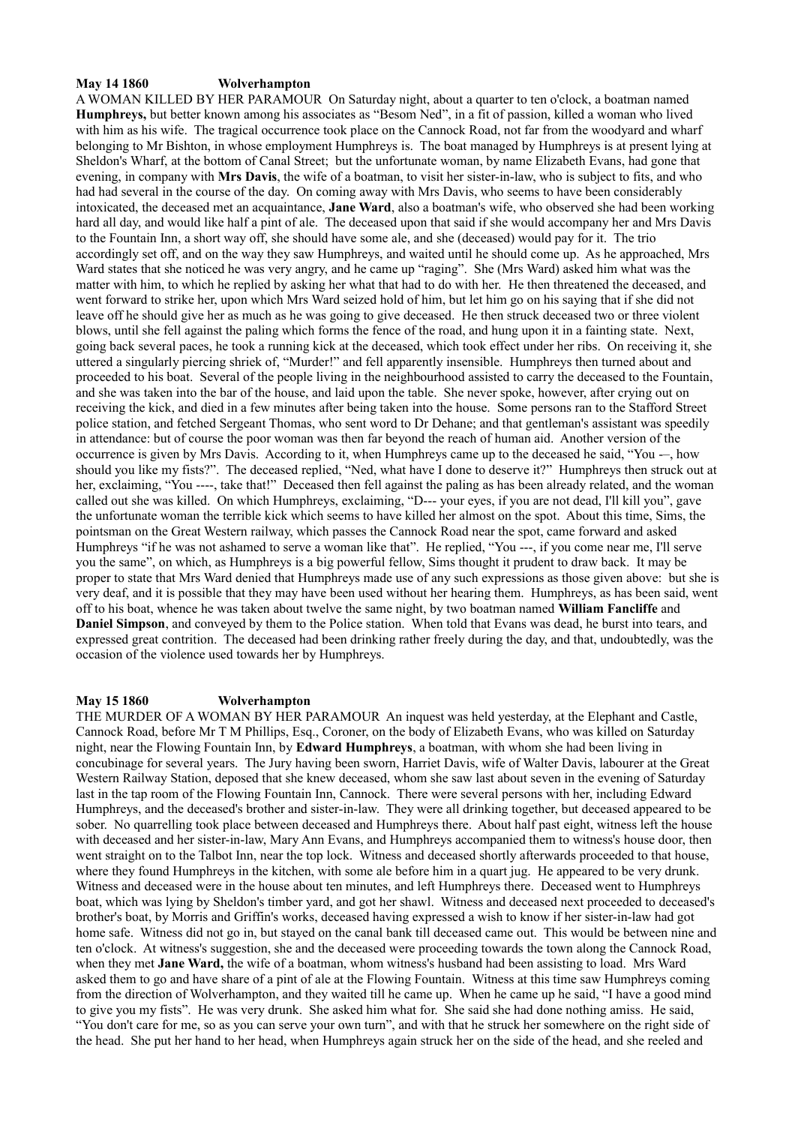## **May 14 1860 Wolverhampton**

A WOMAN KILLED BY HER PARAMOUR On Saturday night, about a quarter to ten o'clock, a boatman named **Humphreys,** but better known among his associates as "Besom Ned", in a fit of passion, killed a woman who lived with him as his wife. The tragical occurrence took place on the Cannock Road, not far from the woodyard and wharf belonging to Mr Bishton, in whose employment Humphreys is. The boat managed by Humphreys is at present lying at Sheldon's Wharf, at the bottom of Canal Street; but the unfortunate woman, by name Elizabeth Evans, had gone that evening, in company with **Mrs Davis**, the wife of a boatman, to visit her sister-in-law, who is subject to fits, and who had had several in the course of the day. On coming away with Mrs Davis, who seems to have been considerably intoxicated, the deceased met an acquaintance, **Jane Ward**, also a boatman's wife, who observed she had been working hard all day, and would like half a pint of ale. The deceased upon that said if she would accompany her and Mrs Davis to the Fountain Inn, a short way off, she should have some ale, and she (deceased) would pay for it. The trio accordingly set off, and on the way they saw Humphreys, and waited until he should come up. As he approached, Mrs Ward states that she noticed he was very angry, and he came up "raging". She (Mrs Ward) asked him what was the matter with him, to which he replied by asking her what that had to do with her. He then threatened the deceased, and went forward to strike her, upon which Mrs Ward seized hold of him, but let him go on his saying that if she did not leave off he should give her as much as he was going to give deceased. He then struck deceased two or three violent blows, until she fell against the paling which forms the fence of the road, and hung upon it in a fainting state. Next, going back several paces, he took a running kick at the deceased, which took effect under her ribs. On receiving it, she uttered a singularly piercing shriek of, "Murder!" and fell apparently insensible. Humphreys then turned about and proceeded to his boat. Several of the people living in the neighbourhood assisted to carry the deceased to the Fountain, and she was taken into the bar of the house, and laid upon the table. She never spoke, however, after crying out on receiving the kick, and died in a few minutes after being taken into the house. Some persons ran to the Stafford Street police station, and fetched Sergeant Thomas, who sent word to Dr Dehane; and that gentleman's assistant was speedily in attendance: but of course the poor woman was then far beyond the reach of human aid. Another version of the occurrence is given by Mrs Davis. According to it, when Humphreys came up to the deceased he said, "You -–, how should you like my fists?". The deceased replied, "Ned, what have I done to deserve it?" Humphreys then struck out at her, exclaiming, "You ----, take that!" Deceased then fell against the paling as has been already related, and the woman called out she was killed. On which Humphreys, exclaiming, "D--- your eyes, if you are not dead, I'll kill you", gave the unfortunate woman the terrible kick which seems to have killed her almost on the spot. About this time, Sims, the pointsman on the Great Western railway, which passes the Cannock Road near the spot, came forward and asked Humphreys "if he was not ashamed to serve a woman like that". He replied, "You ---, if you come near me, I'll serve you the same", on which, as Humphreys is a big powerful fellow, Sims thought it prudent to draw back. It may be proper to state that Mrs Ward denied that Humphreys made use of any such expressions as those given above: but she is very deaf, and it is possible that they may have been used without her hearing them. Humphreys, as has been said, went off to his boat, whence he was taken about twelve the same night, by two boatman named **William Fancliffe** and **Daniel Simpson**, and conveyed by them to the Police station. When told that Evans was dead, he burst into tears, and expressed great contrition. The deceased had been drinking rather freely during the day, and that, undoubtedly, was the occasion of the violence used towards her by Humphreys.

## **May 15 1860 Wolverhampton**

THE MURDER OF A WOMAN BY HER PARAMOUR An inquest was held yesterday, at the Elephant and Castle, Cannock Road, before Mr T M Phillips, Esq., Coroner, on the body of Elizabeth Evans, who was killed on Saturday night, near the Flowing Fountain Inn, by **Edward Humphreys**, a boatman, with whom she had been living in concubinage for several years. The Jury having been sworn, Harriet Davis, wife of Walter Davis, labourer at the Great Western Railway Station, deposed that she knew deceased, whom she saw last about seven in the evening of Saturday last in the tap room of the Flowing Fountain Inn, Cannock. There were several persons with her, including Edward Humphreys, and the deceased's brother and sister-in-law. They were all drinking together, but deceased appeared to be sober. No quarrelling took place between deceased and Humphreys there. About half past eight, witness left the house with deceased and her sister-in-law, Mary Ann Evans, and Humphreys accompanied them to witness's house door, then went straight on to the Talbot Inn, near the top lock. Witness and deceased shortly afterwards proceeded to that house, where they found Humphreys in the kitchen, with some ale before him in a quart jug. He appeared to be very drunk. Witness and deceased were in the house about ten minutes, and left Humphreys there. Deceased went to Humphreys boat, which was lying by Sheldon's timber yard, and got her shawl. Witness and deceased next proceeded to deceased's brother's boat, by Morris and Griffin's works, deceased having expressed a wish to know if her sister-in-law had got home safe. Witness did not go in, but stayed on the canal bank till deceased came out. This would be between nine and ten o'clock. At witness's suggestion, she and the deceased were proceeding towards the town along the Cannock Road, when they met **Jane Ward,** the wife of a boatman, whom witness's husband had been assisting to load. Mrs Ward asked them to go and have share of a pint of ale at the Flowing Fountain. Witness at this time saw Humphreys coming from the direction of Wolverhampton, and they waited till he came up. When he came up he said, "I have a good mind to give you my fists". He was very drunk. She asked him what for. She said she had done nothing amiss. He said, "You don't care for me, so as you can serve your own turn", and with that he struck her somewhere on the right side of the head. She put her hand to her head, when Humphreys again struck her on the side of the head, and she reeled and